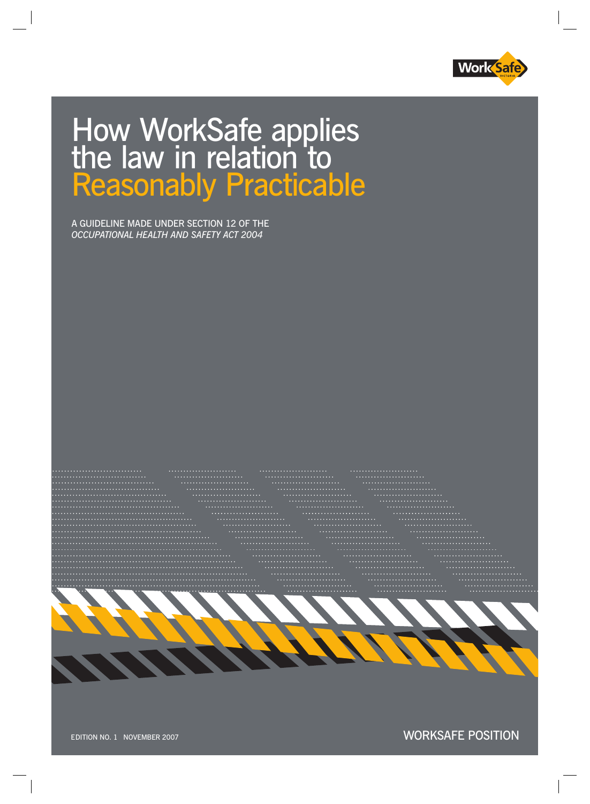

# How WorkSafe applies the law in relation to Reasonably Practicable

A GUIDELINE MADE UNDER SECTION 12 OF THE *OCCUPATIONAL HEALTH AND SAFETY ACT 2004*



WORKSAFE POSITION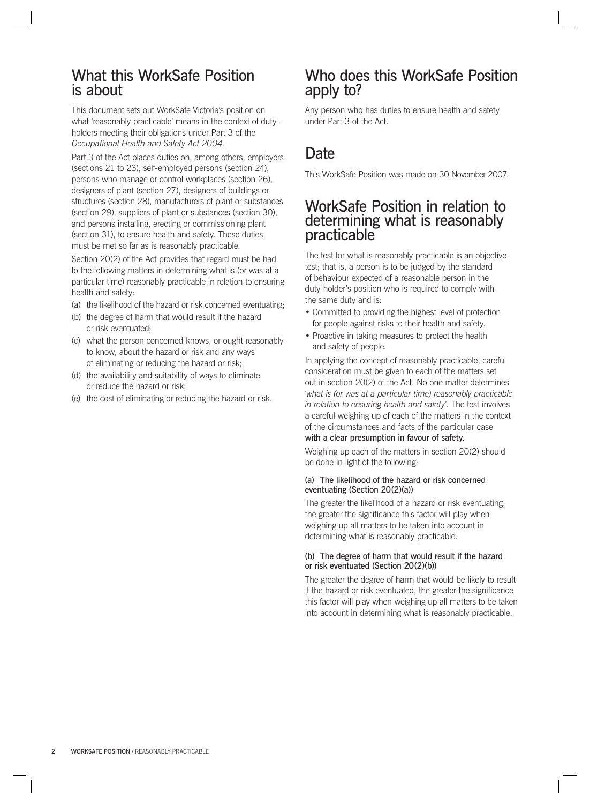### What this WorkSafe Position is about

This document sets out WorkSafe Victoria's position on what 'reasonably practicable' means in the context of duty-*Occupational Health and Safety Act 2004*. holders meeting their obligations under Part 3 of the

Part 3 of the Act places duties on, among others, employers (sections 21 to 23), self-employed persons (section 24), persons who manage or control workplaces (section 26), designers of plant (section 27), designers of buildings or structures (section 28), manufacturers of plant or substances (section 29), suppliers of plant or substances (section 30), and persons installing, erecting or commissioning plant (section 31), to ensure health and safety. These duties must be met so far as is reasonably practicable.

Section 20(2) of the Act provides that regard must be had to the following matters in determining what is (or was at a particular time) reasonably practicable in relation to ensuring health and safety:

- (a) the likelihood of the hazard or risk concerned eventuating;
- (b) the degree of harm that would result if the hazard or risk eventuated;
- (c) what the person concerned knows, or ought reasonably to know, about the hazard or risk and any ways of eliminating or reducing the hazard or risk;
- (d) the availability and suitability of ways to eliminate or reduce the hazard or risk;
- (e) the cost of eliminating or reducing the hazard or risk.

### Who does this WorkSafe Position apply to?

Any person who has duties to ensure health and safety under Part 3 of the Act.

## **Date**

This WorkSafe Position was made on 30 November 2007.

### WorkSafe Position in relation to determining what is reasonably practicable

The test for what is reasonably practicable is an objective test; that is, a person is to be judged by the standard of behaviour expected of a reasonable person in the duty-holder's position who is required to comply with the same duty and is:

- Committed to providing the highest level of protection for people against risks to their health and safety.
- Proactive in taking measures to protect the health and safety of people.

In applying the concept of reasonably practicable, careful consideration must be given to each of the matters set out in section 20(2) of the Act. No one matter determines '*what is (or was at a particular time) reasonably practicable in relation to ensuring health and safety*'. The test involves a careful weighing up of each of the matters in the context of the circumstances and facts of the particular case with a clear presumption in favour of safety.

Weighing up each of the matters in section 20(2) should be done in light of the following:

### (a) The likelihood of the hazard or risk concerned eventuating (Section 20(2)(a))

The greater the likelihood of a hazard or risk eventuating, the greater the significance this factor will play when weighing up all matters to be taken into account in determining what is reasonably practicable.

#### (b) The degree of harm that would result if the hazard or risk eventuated (Section 20(2)(b))

The greater the degree of harm that would be likely to result if the hazard or risk eventuated, the greater the significance this factor will play when weighing up all matters to be taken into account in determining what is reasonably practicable.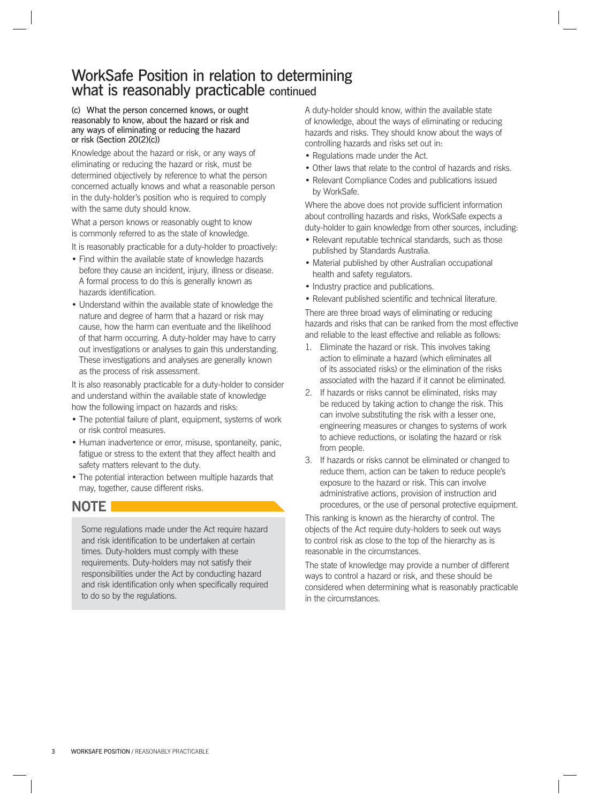### WorkSafe Position in relation to determining what is reasonably practicable continued

#### (c) What the person concerned knows, or ought reasonably to know, about the hazard or risk and any ways of eliminating or reducing the hazard or risk (Section 20(2)(c))

Knowledge about the hazard or risk, or any ways of eliminating or reducing the hazard or risk, must be determined objectively by reference to what the person concerned actually knows and what a reasonable person in the duty-holder's position who is required to comply with the same duty should know.

What a person knows or reasonably ought to know is commonly referred to as the state of knowledge.

It is reasonably practicable for a duty-holder to proactively:

- Find within the available state of knowledge hazards before they cause an incident, injury, illness or disease. A formal process to do this is generally known as hazards identification.
- Understand within the available state of knowledge the nature and degree of harm that a hazard or risk may cause, how the harm can eventuate and the likelihood of that harm occurring. A duty-holder may have to carry out investigations or analyses to gain this understanding. These investigations and analyses are generally known as the process of risk assessment.

It is also reasonably practicable for a duty-holder to consider and understand within the available state of knowledge how the following impact on hazards and risks:

- The potential failure of plant, equipment, systems of work or risk control measures.
- Human inadvertence or error, misuse, spontaneity, panic, fatigue or stress to the extent that they affect health and safety matters relevant to the duty.
- The potential interaction between multiple hazards that may, together, cause different risks.

### **NOTE**

Some regulations made under the Act require hazard and risk identification to be undertaken at certain times. Duty-holders must comply with these requirements. Duty-holders may not satisfy their responsibilities under the Act by conducting hazard and risk identification only when specifically required to do so by the regulations.

A duty-holder should know, within the available state of knowledge, about the ways of eliminating or reducing hazards and risks. They should know about the ways of controlling hazards and risks set out in:

- Regulations made under the Act.
- Other laws that relate to the control of hazards and risks.
- Relevant Compliance Codes and publications issued by WorkSafe.

Where the above does not provide sufficient information about controlling hazards and risks, WorkSafe expects a duty-holder to gain knowledge from other sources, including:

- Relevant reputable technical standards, such as those published by Standards Australia.
- Material published by other Australian occupational health and safety regulators.
- Industry practice and publications.
- Relevant published scientific and technical literature.

There are three broad ways of eliminating or reducing hazards and risks that can be ranked from the most effective and reliable to the least effective and reliable as follows:

- 1. Eliminate the hazard or risk. This involves taking action to eliminate a hazard (which eliminates all of its associated risks) or the elimination of the risks associated with the hazard if it cannot be eliminated.
- 2. If hazards or risks cannot be eliminated, risks may be reduced by taking action to change the risk. This can involve substituting the risk with a lesser one, engineering measures or changes to systems of work to achieve reductions, or isolating the hazard or risk from people.
- 3. If hazards or risks cannot be eliminated or changed to reduce them, action can be taken to reduce people's exposure to the hazard or risk. This can involve administrative actions, provision of instruction and procedures, or the use of personal protective equipment.

This ranking is known as the hierarchy of control. The objects of the Act require duty-holders to seek out ways to control risk as close to the top of the hierarchy as is reasonable in the circumstances.

The state of knowledge may provide a number of different ways to control a hazard or risk, and these should be considered when determining what is reasonably practicable in the circumstances.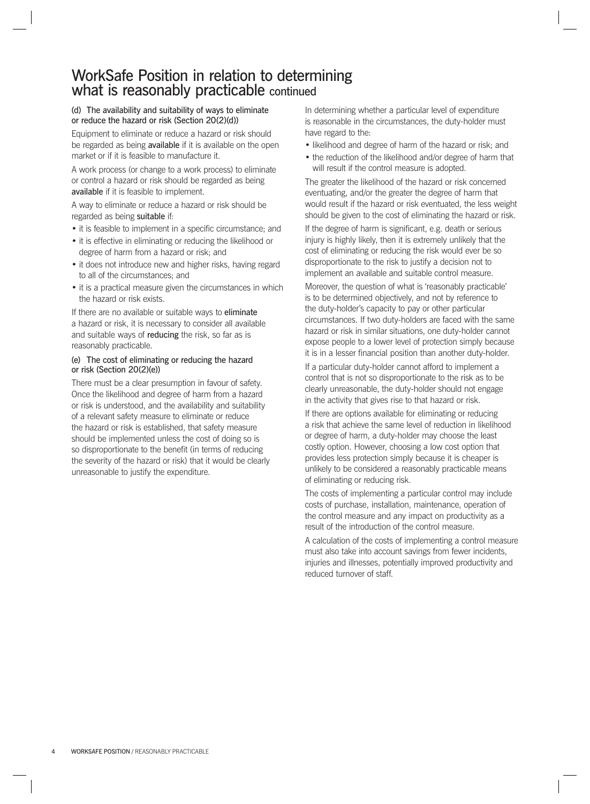### WorkSafe Position in relation to determining what is reasonably practicable continued

#### (d) The availability and suitability of ways to eliminate or reduce the hazard or risk (Section 20(2)(d))

Equipment to eliminate or reduce a hazard or risk should be regarded as being **available** if it is available on the open market or if it is feasible to manufacture it.

A work process (or change to a work process) to eliminate or control a hazard or risk should be regarded as being available if it is feasible to implement.

A way to eliminate or reduce a hazard or risk should be regarded as being suitable if:

- it is feasible to implement in a specific circumstance: and
- it is effective in eliminating or reducing the likelihood or degree of harm from a hazard or risk; and
- it does not introduce new and higher risks, having regard to all of the circumstances; and
- it is a practical measure given the circumstances in which the hazard or risk exists.

If there are no available or suitable ways to eliminate a hazard or risk, it is necessary to consider all available reasonably practicable. and suitable ways of reducing the risk, so far as is

### (e) The cost of eliminating or reducing the hazard or risk (Section 20(2)(e))

There must be a clear presumption in favour of safety. Once the likelihood and degree of harm from a hazard or risk is understood, and the availability and suitability of a relevant safety measure to eliminate or reduce the hazard or risk is established, that safety measure should be implemented unless the cost of doing so is so disproportionate to the benefit (in terms of reducing the severity of the hazard or risk) that it would be clearly unreasonable to justify the expenditure.

In determining whether a particular level of expenditure is reasonable in the circumstances, the duty-holder must have regard to the:

- likelihood and degree of harm of the hazard or risk; and
- the reduction of the likelihood and/or degree of harm that will result if the control measure is adopted.

The greater the likelihood of the hazard or risk concerned eventuating, and/or the greater the degree of harm that would result if the hazard or risk eventuated, the less weight should be given to the cost of eliminating the hazard or risk.

If the degree of harm is significant, e.g. death or serious injury is highly likely, then it is extremely unlikely that the cost of eliminating or reducing the risk would ever be so disproportionate to the risk to justify a decision not to implement an available and suitable control measure.

Moreover, the question of what is 'reasonably practicable' is to be determined objectively, and not by reference to the duty-holder's capacity to pay or other particular circumstances. If two duty-holders are faced with the same hazard or risk in similar situations, one duty-holder cannot expose people to a lower level of protection simply because it is in a lesser financial position than another duty-holder.

If a particular duty-holder cannot afford to implement a control that is not so disproportionate to the risk as to be clearly unreasonable, the duty-holder should not engage in the activity that gives rise to that hazard or risk.

If there are options available for eliminating or reducing a risk that achieve the same level of reduction in likelihood or degree of harm, a duty-holder may choose the least costly option. However, choosing a low cost option that provides less protection simply because it is cheaper is unlikely to be considered a reasonably practicable means of eliminating or reducing risk.

The costs of implementing a particular control may include costs of purchase, installation, maintenance, operation of the control measure and any impact on productivity as a result of the introduction of the control measure.

A calculation of the costs of implementing a control measure must also take into account savings from fewer incidents, injuries and illnesses, potentially improved productivity and reduced turnover of staff.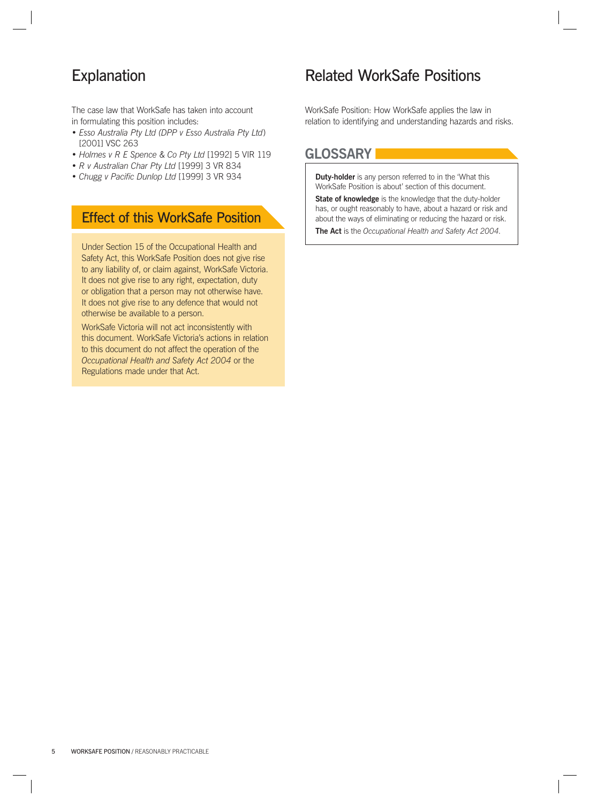The case law that WorkSafe has taken into account in formulating this position includes:

- *Esso Australia Pty Ltd (DPP v Esso Australia Pty Ltd*) [2001] VSC 263
- *Holmes v R E Spence & Co Pty Ltd* [1992] 5 VIR 119
- *R v Australian Char Pty Ltd* [1999] 3 VR 834
- *Chugg v Pacific Dunlop Ltd* [1999] 3 VR 934

### Effect of this WorkSafe Position

Under Section 15 of the Occupational Health and Safety Act, this WorkSafe Position does not give rise to any liability of, or claim against, WorkSafe Victoria. It does not give rise to any right, expectation, duty or obligation that a person may not otherwise have. It does not give rise to any defence that would not otherwise be available to a person.

WorkSafe Victoria will not act inconsistently with this document. WorkSafe Victoria's actions in relation to this document do not affect the operation of the *Occupational Health and Safety Act 2004* or the Regulations made under that Act.

### Explanation **Explanation** Related WorkSafe Positions

WorkSafe Position: How WorkSafe applies the law in relation to identifying and understanding hazards and risks.

### **GLOSSARY**

**Duty-holder** is any person referred to in the 'What this WorkSafe Position is about' section of this document.

**State of knowledge** is the knowledge that the duty-holder has, or ought reasonably to have, about a hazard or risk and about the ways of eliminating or reducing the hazard or risk. **The Act** is the *Occupational Health and Safety Act 2004*.